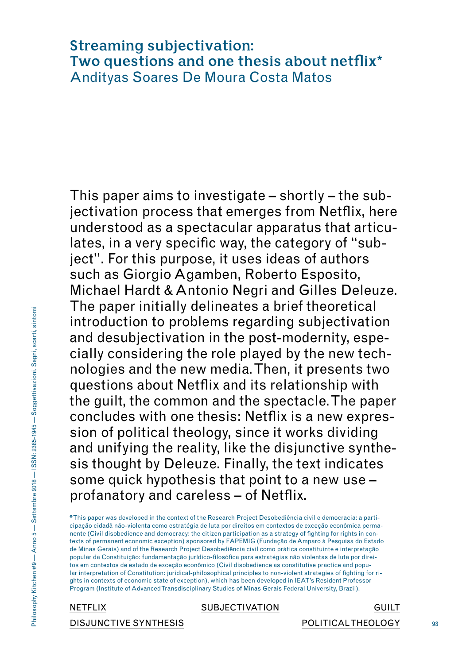# **Streaming subjectivation: Two questions and one thesis about netflix \***Andityas Soares De Moura Costa Matos

This paper aims to investigate – shortly – the subjectivation process that emerges from Netflix, here understood as a spectacular apparatus that articulates, in a very specific way, the category of "subject". For this purpose, it uses ideas of authors such as Giorgio Agamben, Roberto Esposito, Michael Hardt & Antonio Negri and Gilles Deleuze. The paper initially delineates a brief theoretical introduction to problems regarding subjectivation and desubjectivation in the post-modernity, especially considering the role played by the new technologies and the new media. Then, it presents two questions about Netflix and its relationship with the guilt, the common and the spectacle. The paper concludes with one thesis: Netflix is a new expression of political theology, since it works dividing and unifying the reality, like the disjunctive synthesis thought by Deleuze. Finally, the text indicates some quick hypothesis that point to a new use – profanatory and careless – of Netflix.

**\*** This paper was developed in the context of the Research Project Desobediência civil e democracia: a participação cidadã não-violenta como estratégia de luta por direitos em contextos de exceção econômica permanente (Civil disobedience and democracy: the citizen participation as a strategy of fighting for rights in contexts of permanent economic exception) sponsored by FAPEMIG (Fundação de Amparo à Pesquisa do Estado de Minas Gerais) and of the Research Project Desobediência civil como prática constituinte e interpretação popular da Constituição: fundamentação jurídico-filosófica para estratégias não violentas de luta por direitos em contextos de estado de exceção econômico (Civil disobedience as constitutive practice and popular interpretation of Constitution: juridical-philosophical principles to non-violent strategies of fighting for rights in contexts of economic state of exception), which has been developed in IEAT's Resident Professor Program (Institute of Advanced Transdisciplinary Studies of Minas Gerais Federal University, Brazil).

NETFLIX SUBJECTIVATION GUILT DISJUNCTIVE SYNTHESIS POLITICALTHEOLOGY

93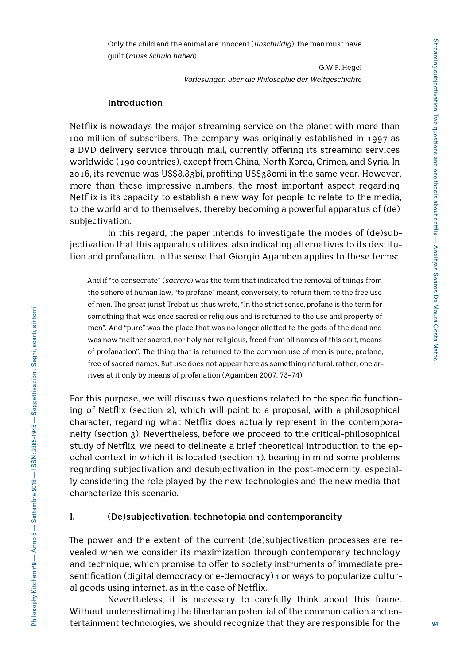Only the child and the animal are innocent (*unschuldig*); the man must have guilt (*muss Schuld haben*).

> G.W.F. Hegel *Vorlesungen über die Philosophie der Weltgeschichte*

#### **Introduction**

Netflix is nowadays the major streaming service on the planet with more than 100 million of subscribers. The company was originally established in 1997 as a DVD delivery service through mail, currently offering its streaming services worldwide (190 countries), except from China, North Korea, Crimea, and Syria. In 2016, its revenue was US\$8.83bi, profiting US\$380mi in the same year. However, more than these impressive numbers, the most important aspect regarding Netflix is its capacity to establish a new way for people to relate to the media, to the world and to themselves, thereby becoming a powerful apparatus of (de) subjectivation.

In this regard, the paper intends to investigate the modes of (de)subjectivation that this apparatus utilizes, also indicating alternatives to its destitution and profanation, in the sense that Giorgio Agamben applies to these terms:

And if "to consecrate" (*sacrare*) was the term that indicated the removal of things from the sphere of human law, "to profane" meant, conversely, to return them to the free use of men. The great jurist Trebatius thus wrote, "In the strict sense, profane is the term for something that was once sacred or religious and is returned to the use and property of men". And "pure" was the place that was no longer allotted to the gods of the dead and was now "neither sacred, nor holy nor religious, freed from all names of this sort, means of profanation". The thing that is returned to the common use of men is pure, profane, free of sacred names. But use does not appear here as something natural: rather, one arrives at it only by means of profanation (Agamben 2007, 73-74).

For this purpose, we will discuss two questions related to the specific functioning of Netflix (section 2), which will point to a proposal, with a philosophical character, regarding what Netflix does actually represent in the contemporaneity (section 3). Nevertheless, before we proceed to the critical-philosophical study of Netflix, we need to delineate a brief theoretical introduction to the epochal context in which it is located (section 1), bearing in mind some problems regarding subjectivation and desubjectivation in the post-modernity, especially considering the role played by the new technologies and the new media that characterize this scenario.

#### **I. (De)subjectivation, technotopia and contemporaneity**

The power and the extent of the current (de)subjectivation processes are revealed when we consider its maximization through contemporary technology and technique, which promise to offer to society instruments of immediate presentification (digital democracy or e-democracy) **1** or ways to popularize cultural goods using internet, as in the case of Netflix.

Nevertheless, it is necessary to carefully think about this frame. Without underestimating the libertarian potential of the communication and entertainment technologies, we should recognize that they are responsible for the

94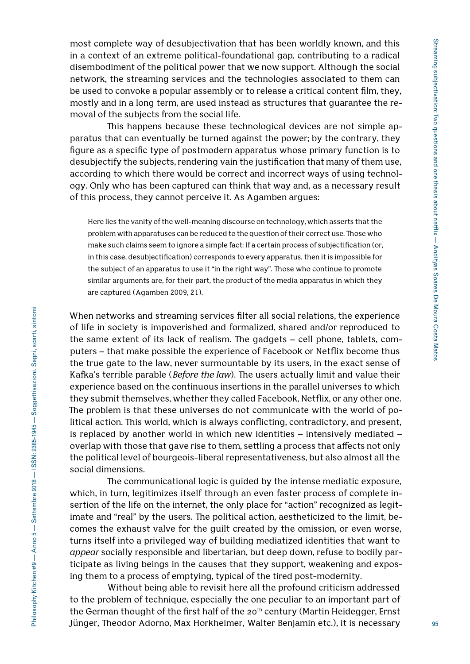most complete way of desubjectivation that has been worldly known, and this in a context of an extreme political-foundational gap, contributing to a radical disembodiment of the political power that we now support. Although the social network, the streaming services and the technologies associated to them can be used to convoke a popular assembly or to release a critical content film, they, mostly and in a long term, are used instead as structures that guarantee the removal of the subjects from the social life.

This happens because these technological devices are not simple apparatus that can eventually be turned against the power; by the contrary, they figure as a specific type of postmodern apparatus whose primary function is to desubjectify the subjects, rendering vain the justification that many of them use, according to which there would be correct and incorrect ways of using technology. Only who has been captured can think that way and, as a necessary result of this process, they cannot perceive it. As Agamben argues:

Here lies the vanity of the well-meaning discourse on technology, which asserts that the problem with apparatuses can be reduced to the question of their correct use. Those who make such claims seem to ignore a simple fact: If a certain process of subjectification (or, in this case, desubjectification) corresponds to every apparatus, then it is impossible for the subject of an apparatus to use it "in the right way". Those who continue to promote similar arguments are, for their part, the product of the media apparatus in which they are captured (Agamben 2009, 21).

When networks and streaming services filter all social relations, the experience of life in society is impoverished and formalized, shared and/or reproduced to the same extent of its lack of realism. The gadgets – cell phone, tablets, computers – that make possible the experience of Facebook or Netflix become thus the true gate to the law, never surmountable by its users, in the exact sense of Kafka's terrible parable (*Before the law*). The users actually limit and value their experience based on the continuous insertions in the parallel universes to which they submit themselves, whether they called Facebook, Netflix, or any other one. The problem is that these universes do not communicate with the world of political action. This world, which is always conflicting, contradictory, and present, is replaced by another world in which new identities – intensively mediated – overlap with those that gave rise to them, settling a process that affects not only the political level of bourgeois-liberal representativeness, but also almost all the social dimensions.

The communicational logic is guided by the intense mediatic exposure, which, in turn, legitimizes itself through an even faster process of complete insertion of the life on the internet, the only place for "action" recognized as legitimate and "real" by the users. The political action, aestheticized to the limit, becomes the exhaust valve for the guilt created by the omission, or even worse, turns itself into a privileged way of building mediatized identities that want to *appear* socially responsible and libertarian, but deep down, refuse to bodily participate as living beings in the causes that they support, weakening and exposing them to a process of emptying, typical of the tired post-modernity.

Without being able to revisit here all the profound criticism addressed to the problem of technique, especially the one peculiar to an important part of the German thought of the first half of the 20<sup>th</sup> century (Martin Heidegger, Ernst Jünger, Theodor Adorno, Max Horkheimer, Walter Benjamin etc.), it is necessary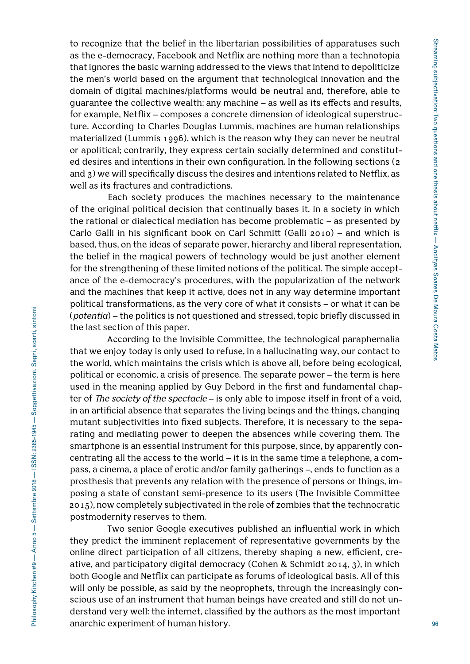to recognize that the belief in the libertarian possibilities of apparatuses such as the e-democracy, Facebook and Netflix are nothing more than a technotopia that ignores the basic warning addressed to the views that intend to depoliticize the men's world based on the argument that technological innovation and the domain of digital machines/platforms would be neutral and, therefore, able to guarantee the collective wealth: any machine – as well as its effects and results, for example, Netflix – composes a concrete dimension of ideological superstructure. According to Charles Douglas Lummis, machines are human relationships materialized (Lummis 1996), which is the reason why they can never be neutral or apolitical; contrarily, they express certain socially determined and constituted desires and intentions in their own configuration. In the following sections (2 and 3) we will specifically discuss the desires and intentions related to Netflix, as well as its fractures and contradictions.

Each society produces the machines necessary to the maintenance of the original political decision that continually bases it. In a society in which the rational or dialectical mediation has become problematic – as presented by Carlo Galli in his significant book on Carl Schmitt (Galli 2010) – and which is based, thus, on the ideas of separate power, hierarchy and liberal representation, the belief in the magical powers of technology would be just another element for the strengthening of these limited notions of the political. The simple acceptance of the e-democracy's procedures, with the popularization of the network and the machines that keep it active, does not in any way determine important political transformations, as the very core of what it consists – or what it can be (*potentia*) – the politics is not questioned and stressed, topic briefly discussed in the last section of this paper.

According to the Invisible Committee, the technological paraphernalia that we enjoy today is only used to refuse, in a hallucinating way, our contact to the world, which maintains the crisis which is above all, before being ecological, political or economic, a crisis of presence. The separate power – the term is here used in the meaning applied by Guy Debord in the first and fundamental chapter of *The society of the spectacle* – is only able to impose itself in front of a void, in an artificial absence that separates the living beings and the things, changing mutant subjectivities into fixed subjects. Therefore, it is necessary to the separating and mediating power to deepen the absences while covering them. The smartphone is an essential instrument for this purpose, since, by apparently concentrating all the access to the world – it is in the same time a telephone, a compass, a cinema, a place of erotic and/or family gatherings –, ends to function as a prosthesis that prevents any relation with the presence of persons or things, imposing a state of constant semi-presence to its users (The Invisible Committee 2015), now completely subjectivated in the role of zombies that the technocratic postmodernity reserves to them.

Two senior Google executives published an influential work in which they predict the imminent replacement of representative governments by the online direct participation of all citizens, thereby shaping a new, efficient, creative, and participatory digital democracy (Cohen & Schmidt 2014, 3), in which both Google and Netflix can participate as forums of ideological basis. All of this will only be possible, as said by the neoprophets, through the increasingly conscious use of an instrument that human beings have created and still do not understand very well: the internet, classified by the authors as the most important anarchic experiment of human history.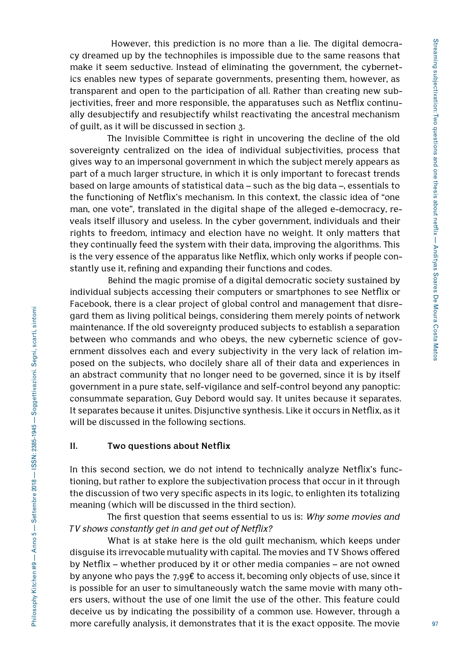However, this prediction is no more than a lie. The digital democracy dreamed up by the technophiles is impossible due to the same reasons that make it seem seductive. Instead of eliminating the government, the cybernetics enables new types of separate governments, presenting them, however, as transparent and open to the participation of all. Rather than creating new subjectivities, freer and more responsible, the apparatuses such as Netflix continually desubjectify and resubjectify whilst reactivating the ancestral mechanism of guilt, as it will be discussed in section 3.

The Invisible Committee is right in uncovering the decline of the old sovereignty centralized on the idea of individual subjectivities, process that gives way to an impersonal government in which the subject merely appears as part of a much larger structure, in which it is only important to forecast trends based on large amounts of statistical data – such as the big data –, essentials to the functioning of Netflix's mechanism. In this context, the classic idea of "one man, one vote", translated in the digital shape of the alleged e-democracy, reveals itself illusory and useless. In the cyber government, individuals and their rights to freedom, intimacy and election have no weight. It only matters that they continually feed the system with their data, improving the algorithms. This is the very essence of the apparatus like Netflix, which only works if people constantly use it, refining and expanding their functions and codes.

Behind the magic promise of a digital democratic society sustained by individual subjects accessing their computers or smartphones to see Netflix or Facebook, there is a clear project of global control and management that disregard them as living political beings, considering them merely points of network maintenance. If the old sovereignty produced subjects to establish a separation between who commands and who obeys, the new cybernetic science of government dissolves each and every subjectivity in the very lack of relation imposed on the subjects, who docilely share all of their data and experiences in an abstract community that no longer need to be governed, since it is by itself government in a pure state, self-vigilance and self-control beyond any panoptic: consummate separation, Guy Debord would say. It unites because it separates. It separates because it unites. Disjunctive synthesis. Like it occurs in Netflix, as it will be discussed in the following sections.

## **II. Two questions about Netflix**

In this second section, we do not intend to technically analyze Netflix's functioning, but rather to explore the subjectivation process that occur in it through the discussion of two very specific aspects in its logic, to enlighten its totalizing meaning (which will be discussed in the third section).

The first question that seems essential to us is: *Why some movies and TV shows constantly get in and get out of Netflix?* 

What is at stake here is the old guilt mechanism, which keeps under disguise its irrevocable mutuality with capital. The movies and TV Shows offered by Netflix – whether produced by it or other media companies – are not owned by anyone who pays the 7,99€ to access it, becoming only objects of use, since it is possible for an user to simultaneously watch the same movie with many others users, without the use of one limit the use of the other. This feature could deceive us by indicating the possibility of a common use. However, through a more carefully analysis, it demonstrates that it is the exact opposite. The movie

Philosophy Kitchen #9 — Anno 5 — Settembre 2018 — ISSN: 2385-1945 — Soggettivazioni. Segni, scarti, sintomi

Philosophy Kitchen #9 - Anno 5 - Settembre 2018 - ISSN: 2385-1945 - Soggettivazioni. Segni, scarti, sintomi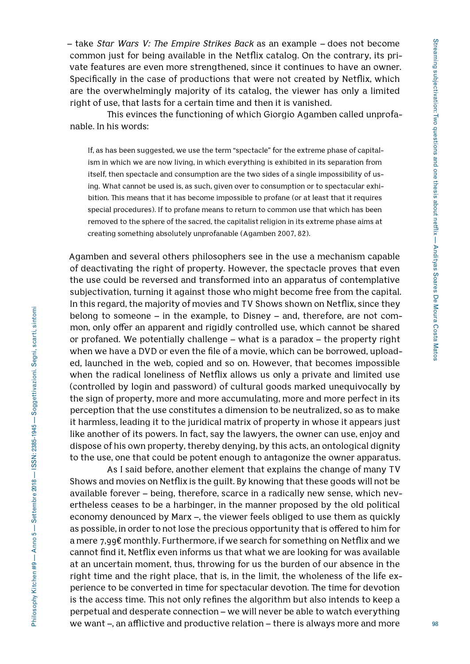– take *Star Wars V: The Empire Strikes Back* as an example *–* does not become common just for being available in the Netflix catalog. On the contrary, its private features are even more strengthened, since it continues to have an owner. Specifically in the case of productions that were not created by Netflix, which are the overwhelmingly majority of its catalog, the viewer has only a limited right of use, that lasts for a certain time and then it is vanished.

This evinces the functioning of which Giorgio Agamben called unprofanable. In his words:

If, as has been suggested, we use the term "spectacle" for the extreme phase of capitalism in which we are now living, in which everything is exhibited in its separation from itself, then spectacle and consumption are the two sides of a single impossibility of using. What cannot be used is, as such, given over to consumption or to spectacular exhibition. This means that it has become impossible to profane (or at least that it requires special procedures). If to profane means to return to common use that which has been removed to the sphere of the sacred, the capitalist religion in its extreme phase aims at creating something absolutely unprofanable (Agamben 2007, 82).

Agamben and several others philosophers see in the use a mechanism capable of deactivating the right of property. However, the spectacle proves that even the use could be reversed and transformed into an apparatus of contemplative subjectivation, turning it against those who might become free from the capital. In this regard, the majority of movies and TV Shows shown on Netflix, since they belong to someone – in the example, to Disney – and, therefore, are not common, only offer an apparent and rigidly controlled use, which cannot be shared or profaned. We potentially challenge – what is a paradox – the property right when we have a DVD or even the file of a movie, which can be borrowed, uploaded, launched in the web, copied and so on. However, that becomes impossible when the radical loneliness of Netflix allows us only a private and limited use (controlled by login and password) of cultural goods marked unequivocally by the sign of property, more and more accumulating, more and more perfect in its perception that the use constitutes a dimension to be neutralized, so as to make it harmless, leading it to the juridical matrix of property in whose it appears just like another of its powers. In fact, say the lawyers, the owner can use, enjoy and dispose of his own property, thereby denying, by this acts, an ontological dignity to the use, one that could be potent enough to antagonize the owner apparatus.

As I said before, another element that explains the change of many TV Shows and movies on Netflix is the guilt. By knowing that these goods will not be available forever – being, therefore, scarce in a radically new sense, which nevertheless ceases to be a harbinger, in the manner proposed by the old political economy denounced by Marx –, the viewer feels obliged to use them as quickly as possible, in order to not lose the precious opportunity that is offered to him for a mere 7,99€ monthly. Furthermore, if we search for something on Netflix and we cannot find it, Netflix even informs us that what we are looking for was available at an uncertain moment, thus, throwing for us the burden of our absence in the right time and the right place, that is, in the limit, the wholeness of the life experience to be converted in time for spectacular devotion. The time for devotion is the access time. This not only refines the algorithm but also intends to keep a perpetual and desperate connection – we will never be able to watch everything we want –, an afflictive and productive relation – there is always more and more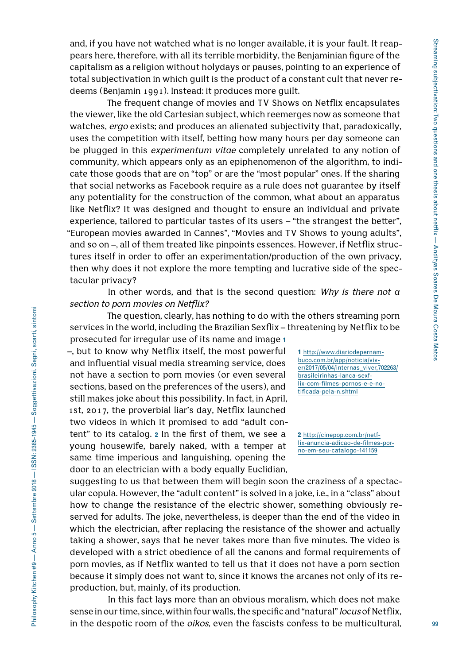and, if you have not watched what is no longer available, it is your fault. It reappears here, therefore, with all its terrible morbidity, the Benjaminian figure of the capitalism as a religion without holydays or pauses, pointing to an experience of total subjectivation in which guilt is the product of a constant cult that never redeems (Benjamin 1991). Instead: it produces more guilt.

The frequent change of movies and TV Shows on Netflix encapsulates the viewer, like the old Cartesian subject, which reemerges now as someone that watches, *ergo* exists; and produces an alienated subjectivity that, paradoxically, uses the competition with itself, betting how many hours per day someone can be plugged in this *experimentum vitae* completely unrelated to any notion of community, which appears only as an epiphenomenon of the algorithm, to indicate those goods that are on "top" or are the "most popular" ones. If the sharing that social networks as Facebook require as a rule does not guarantee by itself any potentiality for the construction of the common, what about an apparatus like Netflix? It was designed and thought to ensure an individual and private experience, tailored to particular tastes of its users – "the strangest the better", "European movies awarded in Cannes", "Movies and TV Shows to young adults", and so on –, all of them treated like pinpoints essences. However, if Netflix structures itself in order to offer an experimentation/production of the own privacy, then why does it not explore the more tempting and lucrative side of the spectacular privacy?

In other words, and that is the second question: *Why is there not a section to porn movies on Netflix?*

The question, clearly, has nothing to do with the others streaming porn services in the world, including the Brazilian Sexflix – threatening by Netflix to be prosecuted for irregular use of its name and image **1**

–, but to know why Netflix itself, the most powerful and influential visual media streaming service, does not have a section to porn movies (or even several sections, based on the preferences of the users), and still makes joke about this possibility. In fact, in April, 1st, 2017, the proverbial liar's day, Netflix launched two videos in which it promised to add "adult content" to its catalog. **2** In the first of them, we see a young housewife, barely naked, with a temper at same time imperious and languishing, opening the door to an electrician with a body equally Euclidian,

**1** http://www.diariodepernambuco.com.br/app/noticia/viver/2017/05/04/internas\_viver,702263/ brasileirinhas-lanca-sexflix-com-filmes-pornos-e-e-notificada-pela-n.shtml

**2** http://cinepop.com.br/netflix-anuncia-adicao-de-filmes-porno-em-seu-catalogo-141159

suggesting to us that between them will begin soon the craziness of a spectacular copula. However, the "adult content" is solved in a joke, i.e., in a "class" about how to change the resistance of the electric shower, something obviously reserved for adults. The joke, nevertheless, is deeper than the end of the video in which the electrician, after replacing the resistance of the shower and actually taking a shower, says that he never takes more than five minutes. The video is developed with a strict obedience of all the canons and formal requirements of porn movies, as if Netflix wanted to tell us that it does not have a porn section because it simply does not want to, since it knows the arcanes not only of its reproduction, but, mainly, of its production.

In this fact lays more than an obvious moralism, which does not make sense in our time, since, within four walls, the specific and "natural" *locus* of Netflix, in the despotic room of the *oikos*, even the fascists confess to be multicultural,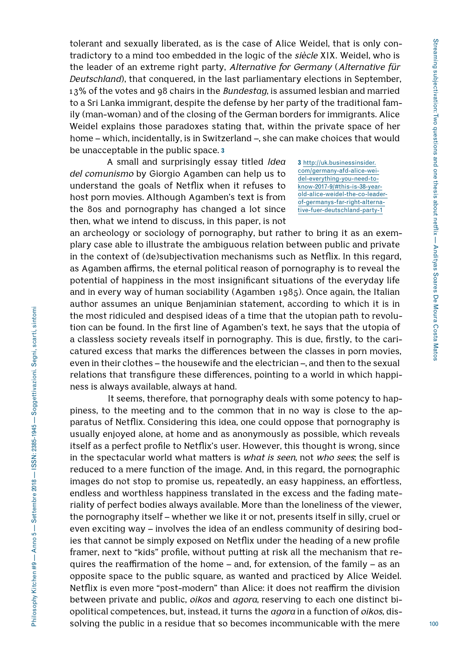tolerant and sexually liberated, as is the case of Alice Weidel, that is only contradictory to a mind too embedded in the logic of the *siècle* XIX. Weidel, who is the leader of an extreme right party, *Alternative for Germany* (*Alternative für Deutschland*), that conquered, in the last parliamentary elections in September, 13% of the votes and 98 chairs in the *Bundestag*, is assumed lesbian and married to a Sri Lanka immigrant, despite the defense by her party of the traditional family (man-woman) and of the closing of the German borders for immigrants. Alice Weidel explains those paradoxes stating that, within the private space of her home – which, incidentally, is in Switzerland –, she can make choices that would be unacceptable in the public space. **3**

A small and surprisingly essay titled *Idea del comunismo* by Giorgio Agamben can help us to understand the goals of Netflix when it refuses to host porn movies. Although Agamben's text is from the 80s and pornography has changed a lot since then, what we intend to discuss, in this paper, is not

**3** http://uk.businessinsider. com/germany-afd-alice-weidel-everything-you-need-toknow-2017-9/#this-is-38-yearold-alice-weidel-the-co-leaderof-germanys-far-right-alternative-fuer-deutschland-party-1

an archeology or sociology of pornography, but rather to bring it as an exemplary case able to illustrate the ambiguous relation between public and private in the context of (de)subjectivation mechanisms such as Netflix. In this regard, as Agamben affirms, the eternal political reason of pornography is to reveal the potential of happiness in the most insignificant situations of the everyday life and in every way of human sociability (Agamben 1985). Once again, the Italian author assumes an unique Benjaminian statement, according to which it is in the most ridiculed and despised ideas of a time that the utopian path to revolution can be found. In the first line of Agamben's text, he says that the utopia of a classless society reveals itself in pornography. This is due, firstly, to the caricatured excess that marks the differences between the classes in porn movies, even in their clothes – the housewife and the electrician –, and then to the sexual relations that transfigure these differences, pointing to a world in which happiness is always available, always at hand.

It seems, therefore, that pornography deals with some potency to happiness, to the meeting and to the common that in no way is close to the apparatus of Netflix. Considering this idea, one could oppose that pornography is usually enjoyed alone, at home and as anonymously as possible, which reveals itself as a perfect profile to Netflix's user. However, this thought is wrong, since in the spectacular world what matters is *what is seen*, not *who sees*; the self is reduced to a mere function of the image. And, in this regard, the pornographic images do not stop to promise us, repeatedly, an easy happiness, an effortless, endless and worthless happiness translated in the excess and the fading materiality of perfect bodies always available. More than the loneliness of the viewer, the pornography itself – whether we like it or not, presents itself in silly, cruel or even exciting way – involves the idea of an endless community of desiring bodies that cannot be simply exposed on Netflix under the heading of a new profile framer, next to "kids" profile, without putting at risk all the mechanism that requires the reaffirmation of the home – and, for extension, of the family – as an opposite space to the public square, as wanted and practiced by Alice Weidel. Netflix is even more "post-modern" than Alice: it does not reaffirm the division between private and public, *oikos* and *agora*, reserving to each one distinct biopolitical competences, but, instead, it turns the *agora* in a function of *oikos*, dissolving the public in a residue that so becomes incommunicable with the mere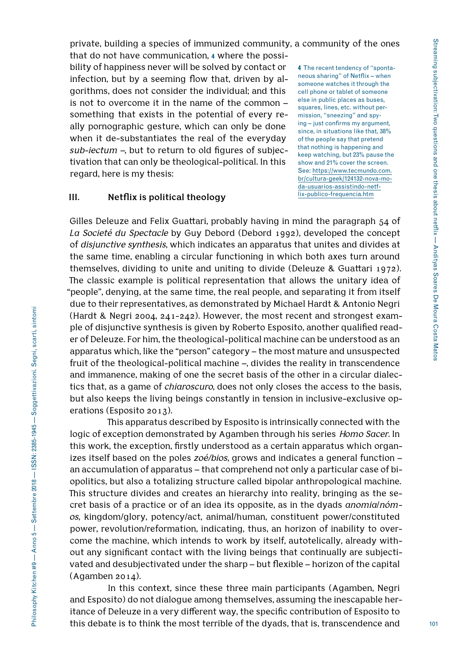private, building a species of immunized community, a community of the ones that do not have communication, **4** where the possibility of happiness never will be solved by contact or infection, but by a seeming flow that, driven by algorithms, does not consider the individual; and this is not to overcome it in the name of the common – neous sharing" of Netflix – when someone watches it through the cell phone or tablet of someone else in public places as buses,

something that exists in the potential of every really pornographic gesture, which can only be done when it de-substantiates the real of the everyday *sub-iectum –*, but to return to old figures of subjectivation that can only be theological-political. In this regard, here is my thesis:

**4** The recent tendency of "spontasquares, lines, etc. without permission, "sneezing" and spying – just confirms my argument, since, in situations like that, 38% of the people say that pretend that nothing is happening and keep watching, but 23% pause the show and 21% cover the screen. See: https://www.tecmundo.com. br/cultura-geek/124132-nova-moda-usuarios-assistindo-netflix-publico-frequencia.htm

## **III. Netflix is political theology**

Gilles Deleuze and Felix Guattari, probably having in mind the paragraph 54 of *La Societé du Spectacle* by Guy Debord (Debord 1992), developed the concept of *disjunctive synthesis*, which indicates an apparatus that unites and divides at the same time, enabling a circular functioning in which both axes turn around themselves, dividing to unite and uniting to divide (Deleuze & Guattari 1972). The classic example is political representation that allows the unitary idea of "people", denying, at the same time, the real people, and separating it from itself due to their representatives, as demonstrated by Michael Hardt & Antonio Negri (Hardt & Negri 2004, 241-242). However, the most recent and strongest example of disjunctive synthesis is given by Roberto Esposito, another qualified reader of Deleuze. For him, the theological-political machine can be understood as an apparatus which, like the "person" category – the most mature and unsuspected fruit of the theological-political machine –, divides the reality in transcendence and immanence, making of one the secret basis of the other in a circular dialectics that, as a game of *chiaroscuro*, does not only closes the access to the basis, but also keeps the living beings constantly in tension in inclusive-exclusive operations (Esposito 2013).

This apparatus described by Esposito is intrinsically connected with the logic of exception demonstrated by Agamben through his series *Homo Sacer.* In this work, the exception, firstly understood as a certain apparatus which organizes itself based on the poles *zoé/bios*, grows and indicates a general function – an accumulation of apparatus – that comprehend not only a particular case of biopolitics, but also a totalizing structure called bipolar anthropological machine. This structure divides and creates an hierarchy into reality, bringing as the secret basis of a practice or of an idea its opposite, as in the dyads *anomia*/*nómos*, kingdom/glory, potency/act, animal/human, constituent power/constituted power, revolution/reformation, indicating, thus, an horizon of inability to overcome the machine, which intends to work by itself, autotelically, already without any significant contact with the living beings that continually are subjectivated and desubjectivated under the sharp – but flexible – horizon of the capital (Agamben 2014).

In this context, since these three main participants (Agamben, Negri and Esposito) do not dialogue among themselves, assuming the inescapable heritance of Deleuze in a very different way, the specific contribution of Esposito to this debate is to think the most terrible of the dyads, that is, transcendence and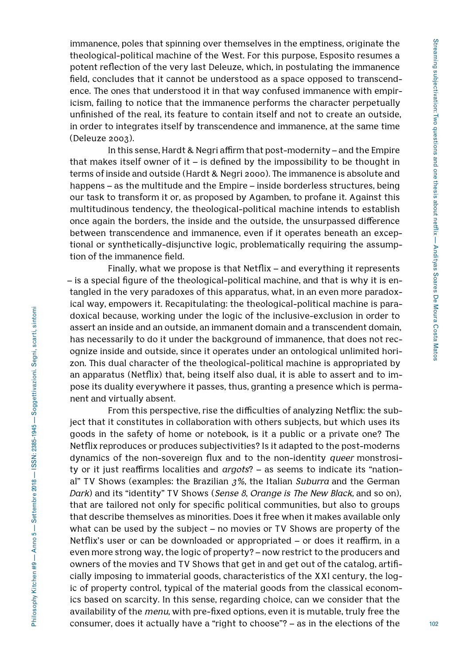immanence, poles that spinning over themselves in the emptiness, originate the theological-political machine of the West. For this purpose, Esposito resumes a potent reflection of the very last Deleuze, which, in postulating the immanence field, concludes that it cannot be understood as a space opposed to transcendence. The ones that understood it in that way confused immanence with empiricism, failing to notice that the immanence performs the character perpetually unfinished of the real, its feature to contain itself and not to create an outside, in order to integrates itself by transcendence and immanence, at the same time (Deleuze 2003).

In this sense, Hardt & Negri affirm that post-modernity – and the Empire that makes itself owner of it – is defined by the impossibility to be thought in terms of inside and outside (Hardt & Negri 2000). The immanence is absolute and happens – as the multitude and the Empire – inside borderless structures, being our task to transform it or, as proposed by Agamben, to profane it. Against this multitudinous tendency, the theological-political machine intends to establish once again the borders, the inside and the outside, the unsurpassed difference between transcendence and immanence, even if it operates beneath an exceptional or synthetically-disjunctive logic, problematically requiring the assumption of the immanence field.

Finally, what we propose is that Netflix – and everything it represents – is a special figure of the theological-political machine, and that is why it is entangled in the very paradoxes of this apparatus, what, in an even more paradoxical way, empowers it. Recapitulating: the theological-political machine is paradoxical because, working under the logic of the inclusive-exclusion in order to assert an inside and an outside, an immanent domain and a transcendent domain, has necessarily to do it under the background of immanence, that does not recognize inside and outside, since it operates under an ontological unlimited horizon. This dual character of the theological-political machine is appropriated by an apparatus (Netflix) that, being itself also dual, it is able to assert and to impose its duality everywhere it passes, thus, granting a presence which is permanent and virtually absent.

From this perspective, rise the difficulties of analyzing Netflix: the subject that it constitutes in collaboration with others subjects, but which uses its goods in the safety of home or notebook, is it a public or a private one? The Netflix reproduces or produces subjectivities? Is it adapted to the post-moderns dynamics of the non-sovereign flux and to the non-identity *queer* monstrosity or it just reaffirms localities and *argots*? – as seems to indicate its "national" TV Shows (examples: the Brazilian *3%*, the Italian *Suburra* and the German *Dark*) and its "identity" TV Shows (*Sense 8*, *Orange is The New Black,* and so on), that are tailored not only for specific political communities, but also to groups that describe themselves as minorities. Does it free when it makes available only what can be used by the subject – no movies or TV Shows are property of the Netflix's user or can be downloaded or appropriated – or does it reaffirm, in a even more strong way, the logic of property? – now restrict to the producers and owners of the movies and TV Shows that get in and get out of the catalog, artificially imposing to immaterial goods, characteristics of the XXI century, the logic of property control, typical of the material goods from the classical economics based on scarcity. In this sense, regarding choice, can we consider that the availability of the *menu*, with pre-fixed options, even it is mutable, truly free the consumer, does it actually have a "right to choose"? – as in the elections of the

102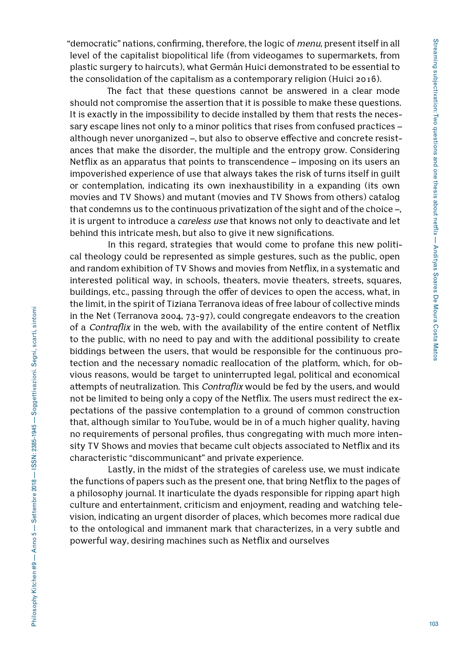"democratic" nations, confirming, therefore, the logic of *menu*, present itself in all level of the capitalist biopolitical life (from videogames to supermarkets, from plastic surgery to haircuts), what Germán Huici demonstrated to be essential to the consolidation of the capitalism as a contemporary religion (Huici 2016).

The fact that these questions cannot be answered in a clear mode should not compromise the assertion that it is possible to make these questions. It is exactly in the impossibility to decide installed by them that rests the necessary escape lines not only to a minor politics that rises from confused practices – although never unorganized –, but also to observe effective and concrete resistances that make the disorder, the multiple and the entropy grow. Considering Netflix as an apparatus that points to transcendence – imposing on its users an impoverished experience of use that always takes the risk of turns itself in guilt or contemplation, indicating its own inexhaustibility in a expanding (its own movies and TV Shows) and mutant (movies and TV Shows from others) catalog that condemns us to the continuous privatization of the sight and of the choice –, it is urgent to introduce a *careless use* that knows not only to deactivate and let behind this intricate mesh, but also to give it new significations.

In this regard, strategies that would come to profane this new political theology could be represented as simple gestures, such as the public, open and random exhibition of TV Shows and movies from Netflix, in a systematic and interested political way, in schools, theaters, movie theaters, streets, squares, buildings, etc., passing through the offer of devices to open the access, what, in the limit, in the spirit of Tiziana Terranova ideas of free labour of collective minds in the Net (Terranova 2004, 73-97), could congregate endeavors to the creation of a *Contraflix* in the web, with the availability of the entire content of Netflix to the public, with no need to pay and with the additional possibility to create biddings between the users, that would be responsible for the continuous protection and the necessary nomadic reallocation of the platform, which, for obvious reasons, would be target to uninterrupted legal, political and economical attempts of neutralization. This *Contraflix* would be fed by the users, and would not be limited to being only a copy of the Netflix. The users must redirect the expectations of the passive contemplation to a ground of common construction that, although similar to YouTube, would be in of a much higher quality, having no requirements of personal profiles, thus congregating with much more intensity TV Shows and movies that became cult objects associated to Netflix and its characteristic "discommunicant" and private experience.

Lastly, in the midst of the strategies of careless use, we must indicate the functions of papers such as the present one, that bring Netflix to the pages of a philosophy journal. It inarticulate the dyads responsible for ripping apart high culture and entertainment, criticism and enjoyment, reading and watching television, indicating an urgent disorder of places, which becomes more radical due to the ontological and immanent mark that characterizes, in a very subtle and powerful way, desiring machines such as Netflix and ourselves